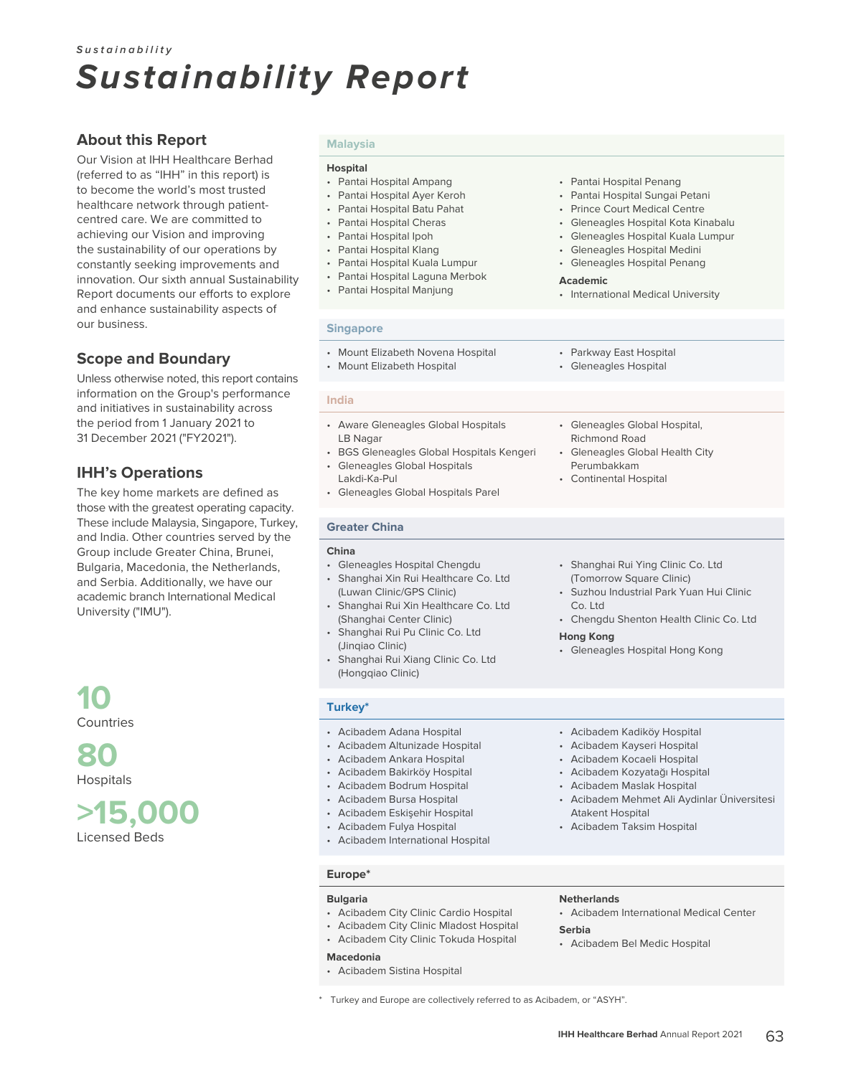### **About this Report**

Our Vision at IHH Healthcare Berhad (referred to as "IHH" in this report) is to become the world's most trusted healthcare network through patientcentred care. We are committed to achieving our Vision and improving the sustainability of our operations by constantly seeking improvements and innovation. Our sixth annual Sustainability Report documents our efforts to explore and enhance sustainability aspects of our business.

### **Scope and Boundary**

Unless otherwise noted, this report contains information on the Group's performance and initiatives in sustainability across the period from 1 January 2021 to 31 December 2021 ("FY2021").

### **IHH's Operations**

The key home markets are defined as those with the greatest operating capacity. These include Malaysia, Singapore, Turkey, and India. Other countries served by the Group include Greater China, Brunei, Bulgaria, Macedonia, the Netherlands, and Serbia. Additionally, we have our academic branch International Medical University ("IMU").



**80** Hospitals

**>15,000** Licensed Beds

### **Malaysia**

#### **Hospital**

- Pantai Hospital Ampang
- Pantai Hospital Ayer Keroh
- Pantai Hospital Batu Pahat
- Pantai Hospital Cheras
- Pantai Hospital Ipoh
- Pantai Hospital Klang
- Pantai Hospital Kuala Lumpur
- Pantai Hospital Laguna Merbok
- Pantai Hospital Manjung
- Pantai Hospital Penang
- Pantai Hospital Sungai Petani
- Prince Court Medical Centre
- Gleneagles Hospital Kota Kinabalu
- Gleneagles Hospital Kuala Lumpur
- Gleneagles Hospital Medini
- Gleneagles Hospital Penang

#### **Academic**

• International Medical University

• Gleneagles Global Hospital,

Gleneagles Global Health City

• Shanghai Rui Ying Clinic Co. Ltd (Tomorrow Square Clinic)

• Gleneagles Hospital Hong Kong

• Acibadem Kadiköy Hospital • Acibadem Kayseri Hospital • Acibadem Kocaeli Hospital • Acibadem Kozyatağı Hospital • Acibadem Maslak Hospital

Atakent Hospital • Acibadem Taksim Hospital

• Suzhou Industrial Park Yuan Hui Clinic

• Chengdu Shenton Health Clinic Co. Ltd

Richmond Road

Perumbakkam • Continental Hospital

Co. Ltd

**Hong Kong**

#### **Singapore**

- Mount Elizabeth Novena Hospital • Parkway East Hospital • Gleneagles Hospital
- Mount Elizabeth Hospital

#### **India**

- Aware Gleneagles Global Hospitals LB Nagar
- BGS Gleneagles Global Hospitals Kengeri
- Gleneagles Global Hospitals Lakdi-Ka-Pul
- Gleneagles Global Hospitals Parel

### **Greater China**

#### **China**

- Gleneagles Hospital Chengdu
- Shanghai Xin Rui Healthcare Co. Ltd (Luwan Clinic/GPS Clinic)
- Shanghai Rui Xin Healthcare Co. Ltd (Shanghai Center Clinic)
- Shanghai Rui Pu Clinic Co. Ltd (Jinqiao Clinic)
- Shanghai Rui Xiang Clinic Co. Ltd (Hongqiao Clinic)

#### **Turkey\***

- Acibadem Adana Hospital • Acibadem Altunizade Hospital
- Acibadem Ankara Hospital
- Acibadem Bakirköy Hospital
- Acibadem Bodrum Hospital
- Acibadem Bursa Hospital
- Acibadem Eskişehir Hospital
- Acibadem Fulya Hospital
- Acibadem International Hospital

#### **Europe\***

#### **Bulgaria**

- Acibadem City Clinic Cardio Hospital
- Acibadem City Clinic Mladost Hospital
- Acibadem City Clinic Tokuda Hospital

#### **Macedonia**

• Acibadem Sistina Hospital

#### **Netherlands**

• Acibadem International Medical Center

• Acibadem Mehmet Ali Aydinlar Üniversitesi

- **Serbia**
- Acibadem Bel Medic Hospital

Turkey and Europe are collectively referred to as Acibadem, or "ASYH".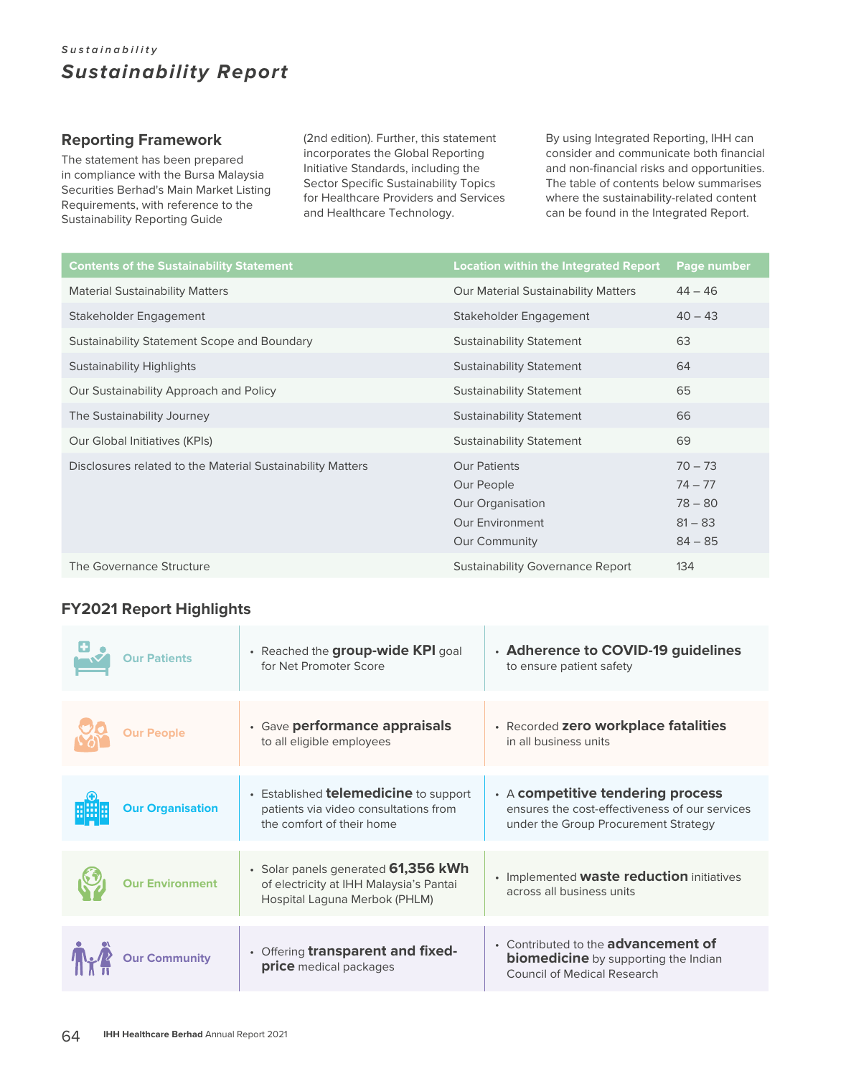### **Reporting Framework**

The statement has been prepared in compliance with the Bursa Malaysia Securities Berhad's Main Market Listing Requirements, with reference to the Sustainability Reporting Guide

(2nd edition). Further, this statement incorporates the Global Reporting Initiative Standards, including the Sector Specific Sustainability Topics for Healthcare Providers and Services and Healthcare Technology.

By using Integrated Reporting, IHH can consider and communicate both financial and non-financial risks and opportunities. The table of contents below summarises where the sustainability-related content can be found in the Integrated Report.

| <b>Contents of the Sustainability Statement</b>            | <b>Location within the Integrated Report</b>                                                            | Page number                                                   |
|------------------------------------------------------------|---------------------------------------------------------------------------------------------------------|---------------------------------------------------------------|
| <b>Material Sustainability Matters</b>                     | Our Material Sustainability Matters                                                                     | $44 - 46$                                                     |
| Stakeholder Engagement                                     | Stakeholder Engagement                                                                                  | $40 - 43$                                                     |
| Sustainability Statement Scope and Boundary                | <b>Sustainability Statement</b>                                                                         | 63                                                            |
| <b>Sustainability Highlights</b>                           | <b>Sustainability Statement</b>                                                                         | 64                                                            |
| Our Sustainability Approach and Policy                     | <b>Sustainability Statement</b>                                                                         | 65                                                            |
| The Sustainability Journey                                 | <b>Sustainability Statement</b>                                                                         | 66                                                            |
| Our Global Initiatives (KPIs)                              | <b>Sustainability Statement</b>                                                                         | 69                                                            |
| Disclosures related to the Material Sustainability Matters | <b>Our Patients</b><br>Our People<br>Our Organisation<br><b>Our Environment</b><br><b>Our Community</b> | $70 - 73$<br>$74 - 77$<br>$78 - 80$<br>$81 - 83$<br>$84 - 85$ |
| The Governance Structure                                   | <b>Sustainability Governance Report</b>                                                                 | 134                                                           |

## **FY2021 Report Highlights**

| <b>Our Patients</b>     | • Reached the <b>group-wide KPI</b> goal<br>for Net Promoter Score                                                 | . Adherence to COVID-19 guidelines<br>to ensure patient safety                                                                    |
|-------------------------|--------------------------------------------------------------------------------------------------------------------|-----------------------------------------------------------------------------------------------------------------------------------|
| <b>Our People</b>       | • Gave performance appraisals<br>to all eligible employees                                                         | · Recorded zero workplace fatalities<br>in all business units                                                                     |
| <b>Our Organisation</b> | • Established <b>telemedicine</b> to support<br>patients via video consultations from<br>the comfort of their home | $\cdot$ A competitive tendering process<br>ensures the cost-effectiveness of our services<br>under the Group Procurement Strategy |
| <b>Our Environment</b>  | • Solar panels generated $61,356$ kWh<br>of electricity at IHH Malaysia's Pantai<br>Hospital Laguna Merbok (PHLM)  | • Implemented <b>waste reduction</b> initiatives<br>across all business units                                                     |
| <b>Our Community</b>    | • Offering transparent and fixed-<br>price medical packages                                                        | • Contributed to the <b>advancement of</b><br><b>biomedicine</b> by supporting the Indian<br>Council of Medical Research          |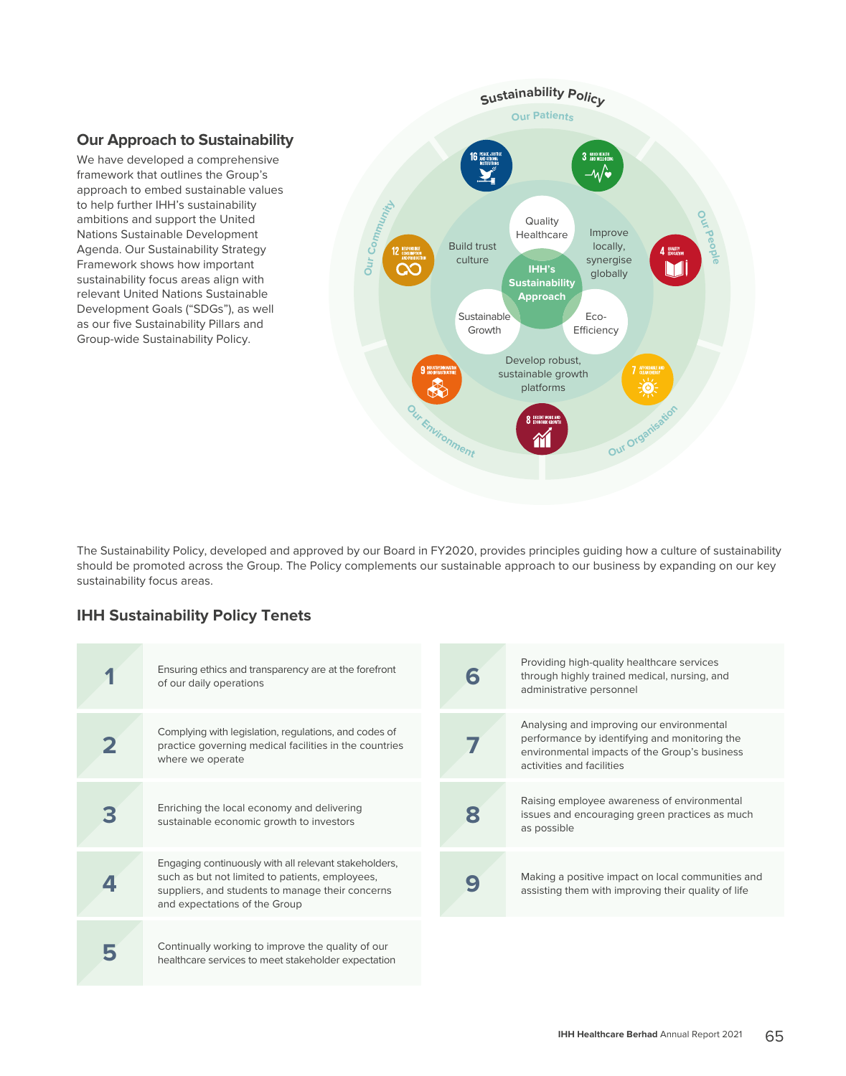### **Our Approach to Sustainability**

We have developed a comprehensive framework that outlines the Group's approach to embed sustainable values to help further IHH's sustainability ambitions and support the United Nations Sustainable Development Agenda. Our Sustainability Strategy Framework shows how important sustainability focus areas align with relevant United Nations Sustainable Development Goals ("SDGs"), as well as our five Sustainability Pillars and Group-wide Sustainability Policy.



The Sustainability Policy, developed and approved by our Board in FY2020, provides principles guiding how a culture of sustainability should be promoted across the Group. The Policy complements our sustainable approach to our business by expanding on our key sustainability focus areas.

### **IHH Sustainability Policy Tenets**

| Ensuring ethics and transparency are at the forefront<br>of our daily operations                                                                                                              | 6 | Providing high-quality healthcare services<br>through highly trained medical, nursing, and<br>administrative personnel                                                   |
|-----------------------------------------------------------------------------------------------------------------------------------------------------------------------------------------------|---|--------------------------------------------------------------------------------------------------------------------------------------------------------------------------|
| Complying with legislation, regulations, and codes of<br>practice governing medical facilities in the countries<br>where we operate                                                           |   | Analysing and improving our environmental<br>performance by identifying and monitoring the<br>environmental impacts of the Group's business<br>activities and facilities |
| Enriching the local economy and delivering<br>sustainable economic growth to investors                                                                                                        | 8 | Raising employee awareness of environmental<br>issues and encouraging green practices as much<br>as possible                                                             |
| Engaging continuously with all relevant stakeholders,<br>such as but not limited to patients, employees,<br>suppliers, and students to manage their concerns<br>and expectations of the Group |   | Making a positive impact on local communities and<br>assisting them with improving their quality of life                                                                 |
| Continually working to improve the quality of our<br>healthcare services to meet stakeholder expectation                                                                                      |   |                                                                                                                                                                          |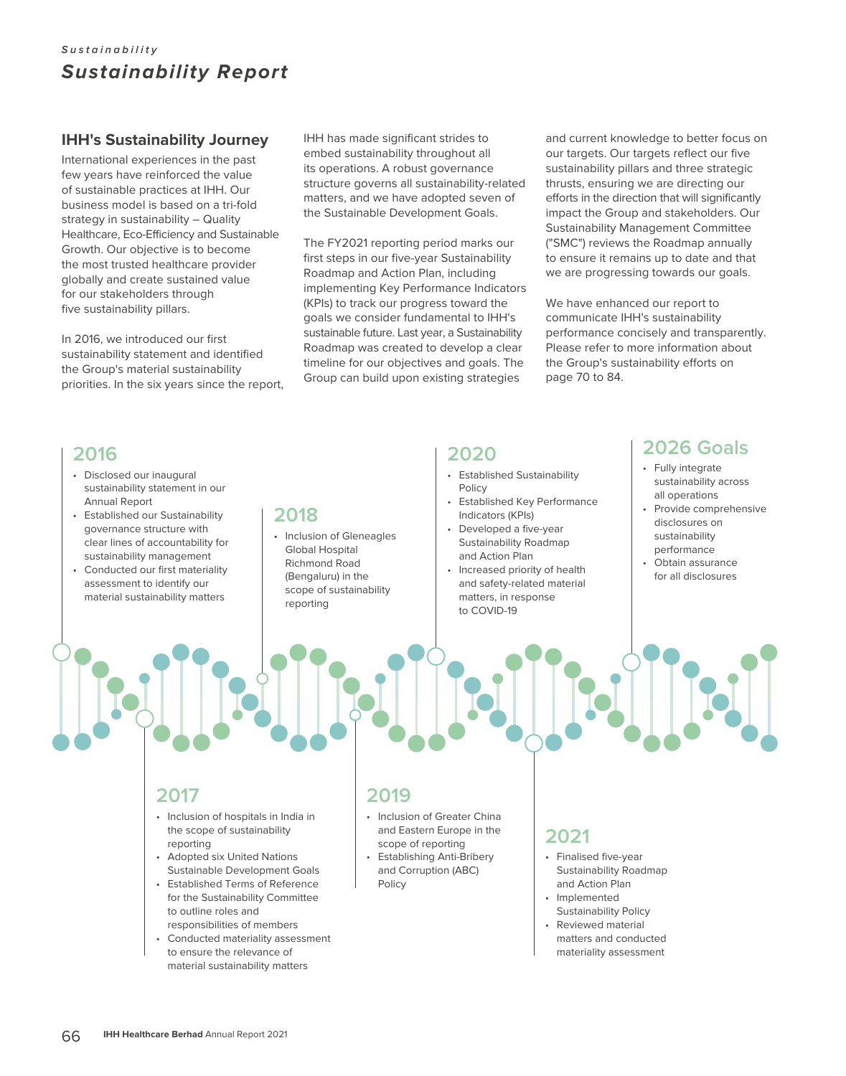### **IHH's Sustainability Journey**

International experiences in the past few years have reinforced the value of sustainable practices at IHH. Our business model is based on a tri-fold strategy in sustainability – Quality Healthcare, Eco-Efficiency and Sustainable Growth. Our objective is to become the most trusted healthcare provider globally and create sustained value for our stakeholders through five sustainability pillars.

In 2016, we introduced our first sustainability statement and identified the Group's material sustainability priorities. In the six years since the report, IHH has made significant strides to embed sustainability throughout all its operations. A robust governance structure governs all sustainability-related matters, and we have adopted seven of the Sustainable Development Goals.

The FY2021 reporting period marks our first steps in our five-year Sustainability Roadmap and Action Plan, including implementing Key Performance Indicators (KPIs) to track our progress toward the goals we consider fundamental to IHH's sustainable future. Last year, a Sustainability Roadmap was created to develop a clear timeline for our objectives and goals. The Group can build upon existing strategies

and current knowledge to better focus on our targets. Our targets reflect our five sustainability pillars and three strategic thrusts, ensuring we are directing our efforts in the direction that will significantly impact the Group and stakeholders. Our Sustainability Management Committee ("SMC") reviews the Roadmap annually to ensure it remains up to date and that we are progressing towards our goals.

We have enhanced our report to communicate IHH's sustainability performance concisely and transparently. Please refer to more information about the Group's sustainability efforts on page 70 to 84.

# **2016**

- Disclosed our inaugural sustainability statement in our Annual Report
- Established our Sustainability governance structure with clear lines of accountability for sustainability management
- Conducted our first materiality assessment to identify our material sustainability matters

# **2018**

• Inclusion of Gleneagles Global Hospital Richmond Road (Bengaluru) in the scope of sustainability reporting

# **2020**

- Established Sustainability Policy
- Established Key Performance Indicators (KPIs)
- Developed a five-year Sustainability Roadmap and Action Plan
- Increased priority of health and safety-related material matters, in response to COVID-19

# **2026 Goals**

- Fully integrate sustainability across all operations
- Provide comprehensive disclosures on sustainability performance
- Obtain assurance for all disclosures

# **2017**

- Inclusion of hospitals in India in the scope of sustainability reporting
- Adopted six United Nations Sustainable Development Goals
- Established Terms of Reference for the Sustainability Committee to outline roles and responsibilities of members
- Conducted materiality assessment to ensure the relevance of material sustainability matters

# **2019**

- Inclusion of Greater China and Eastern Europe in the scope of reporting
- Establishing Anti-Bribery and Corruption (ABC) Policy

# **2021**

- Finalised five-year Sustainability Roadmap and Action Plan
- Implemented
- Sustainability Policy Reviewed material matters and conducted materiality assessment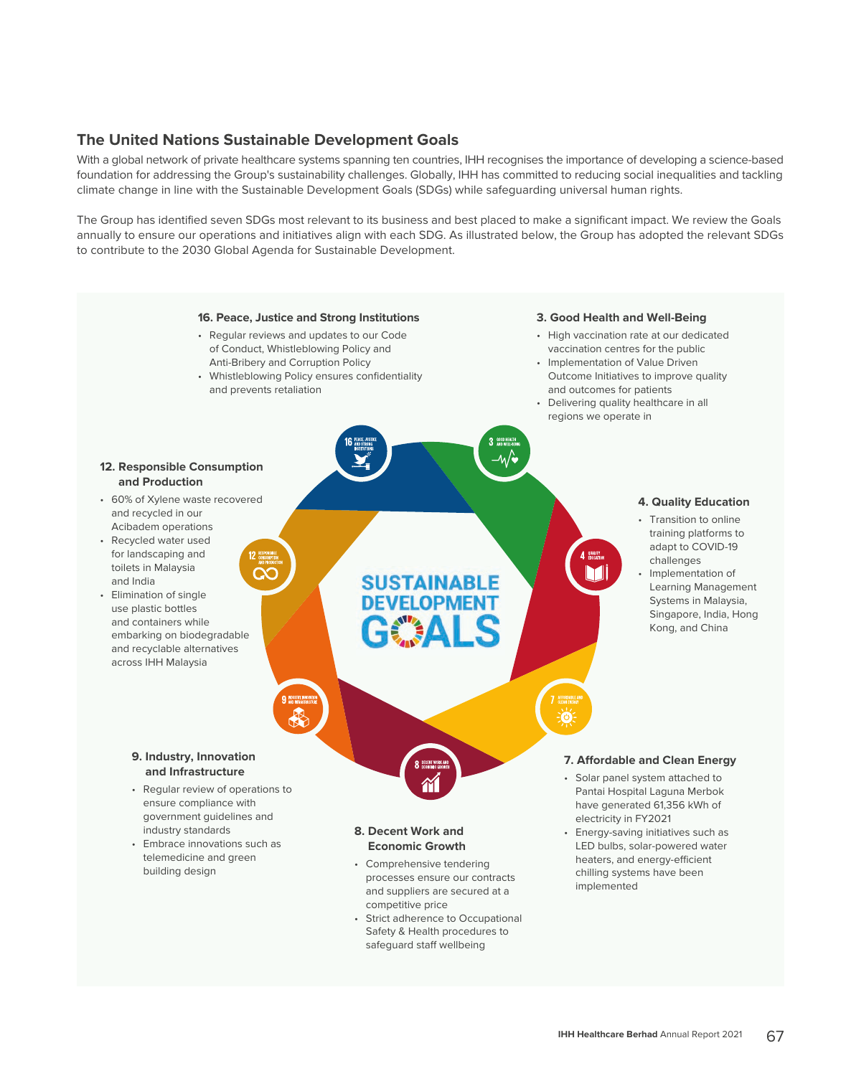### **The United Nations Sustainable Development Goals**

With a global network of private healthcare systems spanning ten countries, IHH recognises the importance of developing a science-based foundation for addressing the Group's sustainability challenges. Globally, IHH has committed to reducing social inequalities and tackling climate change in line with the Sustainable Development Goals (SDGs) while safeguarding universal human rights.

The Group has identified seven SDGs most relevant to its business and best placed to make a significant impact. We review the Goals annually to ensure our operations and initiatives align with each SDG. As illustrated below, the Group has adopted the relevant SDGs to contribute to the 2030 Global Agenda for Sustainable Development.

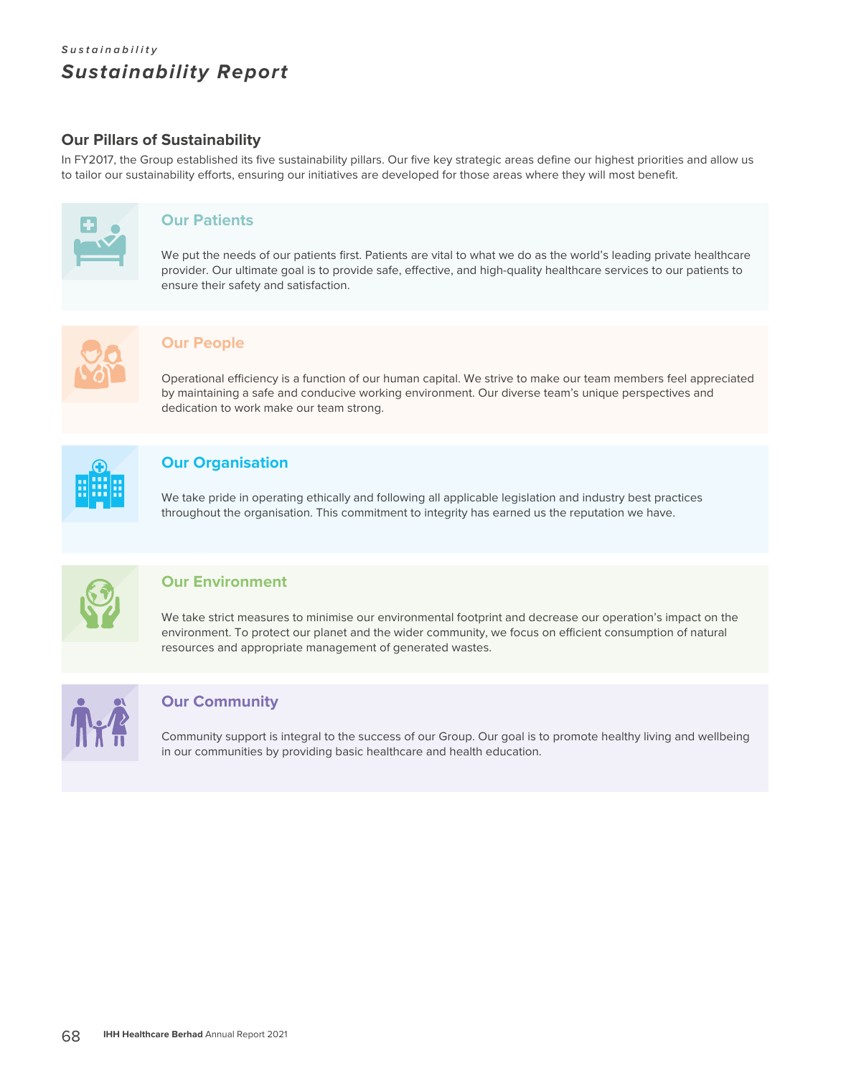### **Our Pillars of Sustainability**

In FY2017, the Group established its five sustainability pillars. Our five key strategic areas define our highest priorities and allow us to tailor our sustainability efforts, ensuring our initiatives are developed for those areas where they will most benefit.



### **Our Patients**

We put the needs of our patients first. Patients are vital to what we do as the world's leading private healthcare provider. Our ultimate goal is to provide safe, effective, and high-quality healthcare services to our patients to ensure their safety and satisfaction.



### **Our People**

Operational efficiency is a function of our human capital. We strive to make our team members feel appreciated by maintaining a safe and conducive working environment. Our diverse team's unique perspectives and dedication to work make our team strong.



### **Our Organisation**

We take pride in operating ethically and following all applicable legislation and industry best practices throughout the organisation. This commitment to integrity has earned us the reputation we have.



### **Our Environment**

We take strict measures to minimise our environmental footprint and decrease our operation's impact on the environment. To protect our planet and the wider community, we focus on efficient consumption of natural resources and appropriate management of generated wastes.



### **Our Community**

Community support is integral to the success of our Group. Our goal is to promote healthy living and wellbeing in our communities by providing basic healthcare and health education.